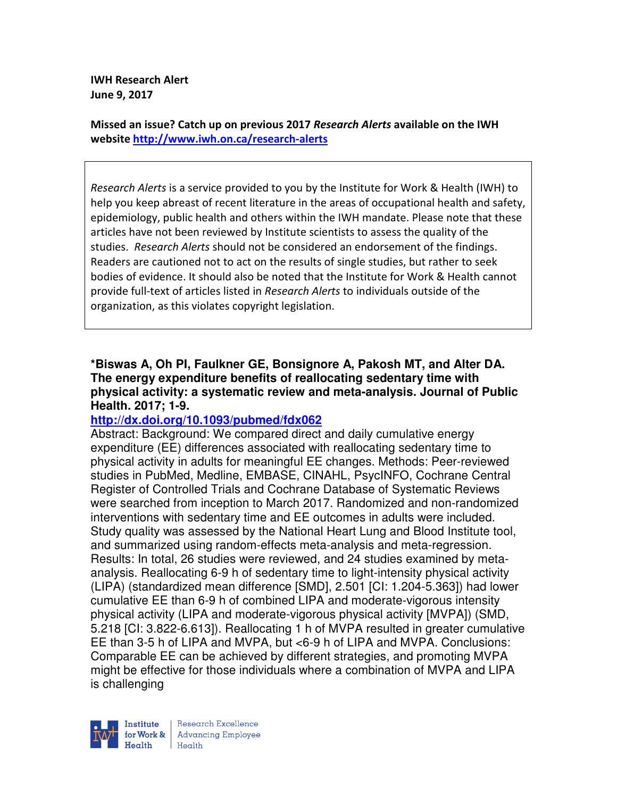**IWH Research Alert June 9, 2017** 

**Missed an issue? Catch up on previous 2017** *Research Alerts* **available on the IWH website http://www.iwh.on.ca/research-alerts**

*Research Alerts* is a service provided to you by the Institute for Work & Health (IWH) to help you keep abreast of recent literature in the areas of occupational health and safety, epidemiology, public health and others within the IWH mandate. Please note that these articles have not been reviewed by Institute scientists to assess the quality of the studies. *Research Alerts* should not be considered an endorsement of the findings. Readers are cautioned not to act on the results of single studies, but rather to seek bodies of evidence. It should also be noted that the Institute for Work & Health cannot provide full-text of articles listed in *Research Alerts* to individuals outside of the organization, as this violates copyright legislation.

#### **\*Biswas A, Oh PI, Faulkner GE, Bonsignore A, Pakosh MT, and Alter DA. The energy expenditure benefits of reallocating sedentary time with physical activity: a systematic review and meta-analysis. Journal of Public Health. 2017; 1-9.**

## **http://dx.doi.org/10.1093/pubmed/fdx062**

Abstract: Background: We compared direct and daily cumulative energy expenditure (EE) differences associated with reallocating sedentary time to physical activity in adults for meaningful EE changes. Methods: Peer-reviewed studies in PubMed, Medline, EMBASE, CINAHL, PsycINFO, Cochrane Central Register of Controlled Trials and Cochrane Database of Systematic Reviews were searched from inception to March 2017. Randomized and non-randomized interventions with sedentary time and EE outcomes in adults were included. Study quality was assessed by the National Heart Lung and Blood Institute tool, and summarized using random-effects meta-analysis and meta-regression. Results: In total, 26 studies were reviewed, and 24 studies examined by metaanalysis. Reallocating 6-9 h of sedentary time to light-intensity physical activity (LIPA) (standardized mean difference [SMD], 2.501 [CI: 1.204-5.363]) had lower cumulative EE than 6-9 h of combined LIPA and moderate-vigorous intensity physical activity (LIPA and moderate-vigorous physical activity [MVPA]) (SMD, 5.218 [CI: 3.822-6.613]). Reallocating 1 h of MVPA resulted in greater cumulative EE than 3-5 h of LIPA and MVPA, but <6-9 h of LIPA and MVPA. Conclusions: Comparable EE can be achieved by different strategies, and promoting MVPA might be effective for those individuals where a combination of MVPA and LIPA is challenging

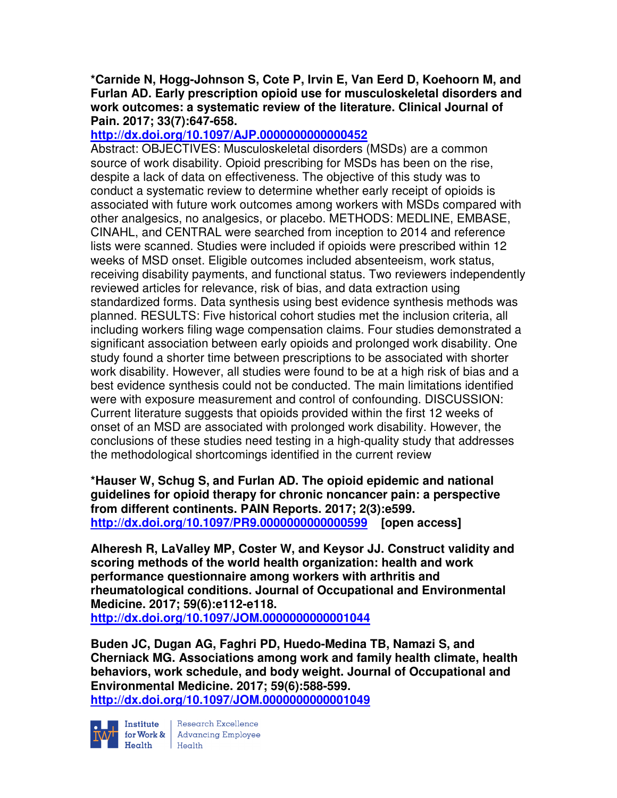#### **\*Carnide N, Hogg-Johnson S, Cote P, Irvin E, Van Eerd D, Koehoorn M, and Furlan AD. Early prescription opioid use for musculoskeletal disorders and work outcomes: a systematic review of the literature. Clinical Journal of Pain. 2017; 33(7):647-658.**

# **http://dx.doi.org/10.1097/AJP.0000000000000452**

Abstract: OBJECTIVES: Musculoskeletal disorders (MSDs) are a common source of work disability. Opioid prescribing for MSDs has been on the rise, despite a lack of data on effectiveness. The objective of this study was to conduct a systematic review to determine whether early receipt of opioids is associated with future work outcomes among workers with MSDs compared with other analgesics, no analgesics, or placebo. METHODS: MEDLINE, EMBASE, CINAHL, and CENTRAL were searched from inception to 2014 and reference lists were scanned. Studies were included if opioids were prescribed within 12 weeks of MSD onset. Eligible outcomes included absenteeism, work status, receiving disability payments, and functional status. Two reviewers independently reviewed articles for relevance, risk of bias, and data extraction using standardized forms. Data synthesis using best evidence synthesis methods was planned. RESULTS: Five historical cohort studies met the inclusion criteria, all including workers filing wage compensation claims. Four studies demonstrated a significant association between early opioids and prolonged work disability. One study found a shorter time between prescriptions to be associated with shorter work disability. However, all studies were found to be at a high risk of bias and a best evidence synthesis could not be conducted. The main limitations identified were with exposure measurement and control of confounding. DISCUSSION: Current literature suggests that opioids provided within the first 12 weeks of onset of an MSD are associated with prolonged work disability. However, the conclusions of these studies need testing in a high-quality study that addresses the methodological shortcomings identified in the current review

**\*Hauser W, Schug S, and Furlan AD. The opioid epidemic and national guidelines for opioid therapy for chronic noncancer pain: a perspective from different continents. PAIN Reports. 2017; 2(3):e599. http://dx.doi.org/10.1097/PR9.0000000000000599 [open access]** 

**Alheresh R, LaValley MP, Coster W, and Keysor JJ. Construct validity and scoring methods of the world health organization: health and work performance questionnaire among workers with arthritis and rheumatological conditions. Journal of Occupational and Environmental Medicine. 2017; 59(6):e112-e118.** 

**http://dx.doi.org/10.1097/JOM.0000000000001044** 

**Buden JC, Dugan AG, Faghri PD, Huedo-Medina TB, Namazi S, and Cherniack MG. Associations among work and family health climate, health behaviors, work schedule, and body weight. Journal of Occupational and Environmental Medicine. 2017; 59(6):588-599. http://dx.doi.org/10.1097/JOM.0000000000001049** 



Institute Research Excellence<br>for Work & Advancing Employee Health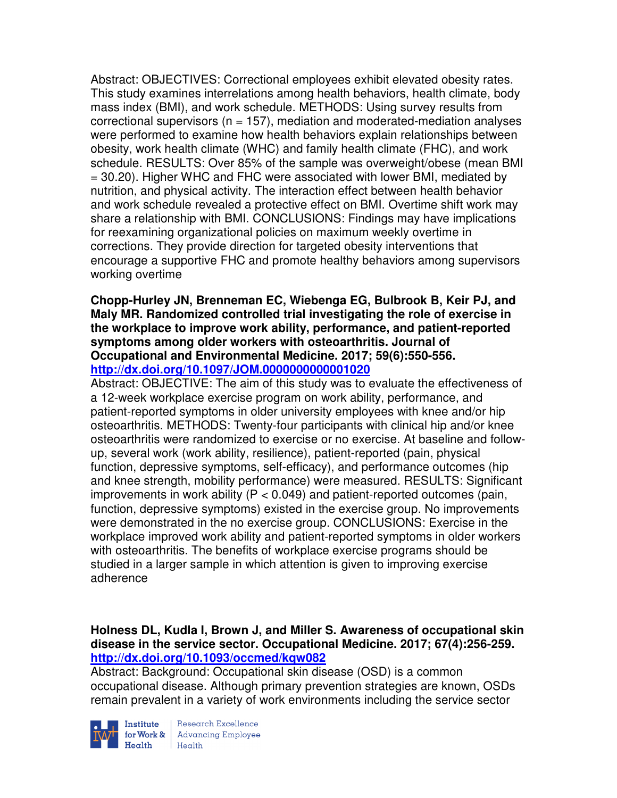Abstract: OBJECTIVES: Correctional employees exhibit elevated obesity rates. This study examines interrelations among health behaviors, health climate, body mass index (BMI), and work schedule. METHODS: Using survey results from correctional supervisors ( $n = 157$ ), mediation and moderated-mediation analyses were performed to examine how health behaviors explain relationships between obesity, work health climate (WHC) and family health climate (FHC), and work schedule. RESULTS: Over 85% of the sample was overweight/obese (mean BMI = 30.20). Higher WHC and FHC were associated with lower BMI, mediated by nutrition, and physical activity. The interaction effect between health behavior and work schedule revealed a protective effect on BMI. Overtime shift work may share a relationship with BMI. CONCLUSIONS: Findings may have implications for reexamining organizational policies on maximum weekly overtime in corrections. They provide direction for targeted obesity interventions that encourage a supportive FHC and promote healthy behaviors among supervisors working overtime

**Chopp-Hurley JN, Brenneman EC, Wiebenga EG, Bulbrook B, Keir PJ, and Maly MR. Randomized controlled trial investigating the role of exercise in the workplace to improve work ability, performance, and patient-reported symptoms among older workers with osteoarthritis. Journal of Occupational and Environmental Medicine. 2017; 59(6):550-556. http://dx.doi.org/10.1097/JOM.0000000000001020** 

Abstract: OBJECTIVE: The aim of this study was to evaluate the effectiveness of a 12-week workplace exercise program on work ability, performance, and patient-reported symptoms in older university employees with knee and/or hip osteoarthritis. METHODS: Twenty-four participants with clinical hip and/or knee osteoarthritis were randomized to exercise or no exercise. At baseline and followup, several work (work ability, resilience), patient-reported (pain, physical function, depressive symptoms, self-efficacy), and performance outcomes (hip and knee strength, mobility performance) were measured. RESULTS: Significant improvements in work ability ( $P < 0.049$ ) and patient-reported outcomes (pain, function, depressive symptoms) existed in the exercise group. No improvements were demonstrated in the no exercise group. CONCLUSIONS: Exercise in the workplace improved work ability and patient-reported symptoms in older workers with osteoarthritis. The benefits of workplace exercise programs should be studied in a larger sample in which attention is given to improving exercise adherence

#### **Holness DL, Kudla I, Brown J, and Miller S. Awareness of occupational skin disease in the service sector. Occupational Medicine. 2017; 67(4):256-259. http://dx.doi.org/10.1093/occmed/kqw082**

Abstract: Background: Occupational skin disease (OSD) is a common occupational disease. Although primary prevention strategies are known, OSDs remain prevalent in a variety of work environments including the service sector

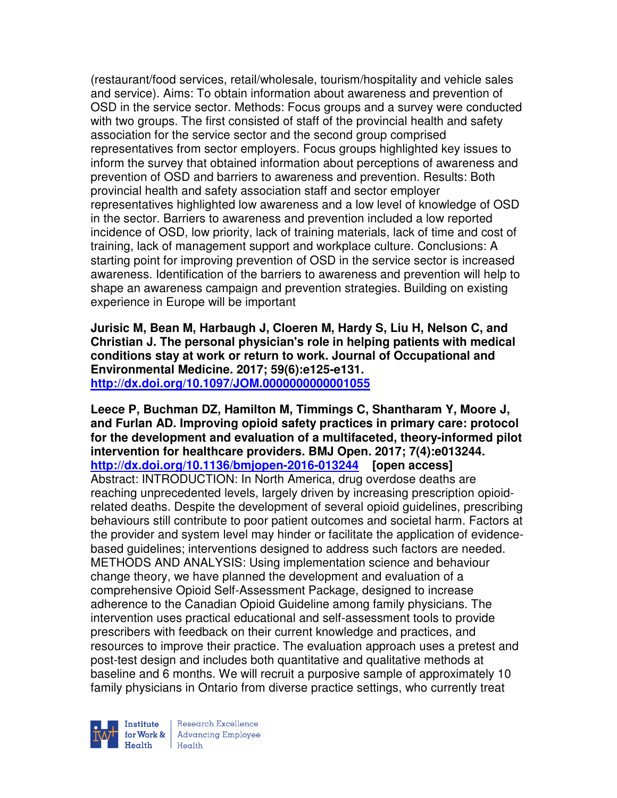(restaurant/food services, retail/wholesale, tourism/hospitality and vehicle sales and service). Aims: To obtain information about awareness and prevention of OSD in the service sector. Methods: Focus groups and a survey were conducted with two groups. The first consisted of staff of the provincial health and safety association for the service sector and the second group comprised representatives from sector employers. Focus groups highlighted key issues to inform the survey that obtained information about perceptions of awareness and prevention of OSD and barriers to awareness and prevention. Results: Both provincial health and safety association staff and sector employer representatives highlighted low awareness and a low level of knowledge of OSD in the sector. Barriers to awareness and prevention included a low reported incidence of OSD, low priority, lack of training materials, lack of time and cost of training, lack of management support and workplace culture. Conclusions: A starting point for improving prevention of OSD in the service sector is increased awareness. Identification of the barriers to awareness and prevention will help to shape an awareness campaign and prevention strategies. Building on existing experience in Europe will be important

**Jurisic M, Bean M, Harbaugh J, Cloeren M, Hardy S, Liu H, Nelson C, and Christian J. The personal physician's role in helping patients with medical conditions stay at work or return to work. Journal of Occupational and Environmental Medicine. 2017; 59(6):e125-e131. http://dx.doi.org/10.1097/JOM.0000000000001055** 

**Leece P, Buchman DZ, Hamilton M, Timmings C, Shantharam Y, Moore J, and Furlan AD. Improving opioid safety practices in primary care: protocol for the development and evaluation of a multifaceted, theory-informed pilot intervention for healthcare providers. BMJ Open. 2017; 7(4):e013244. http://dx.doi.org/10.1136/bmjopen-2016-013244 [open access]** Abstract: INTRODUCTION: In North America, drug overdose deaths are reaching unprecedented levels, largely driven by increasing prescription opioidrelated deaths. Despite the development of several opioid guidelines, prescribing behaviours still contribute to poor patient outcomes and societal harm. Factors at the provider and system level may hinder or facilitate the application of evidencebased guidelines; interventions designed to address such factors are needed. METHODS AND ANALYSIS: Using implementation science and behaviour change theory, we have planned the development and evaluation of a comprehensive Opioid Self-Assessment Package, designed to increase adherence to the Canadian Opioid Guideline among family physicians. The intervention uses practical educational and self-assessment tools to provide prescribers with feedback on their current knowledge and practices, and resources to improve their practice. The evaluation approach uses a pretest and post-test design and includes both quantitative and qualitative methods at baseline and 6 months. We will recruit a purposive sample of approximately 10 family physicians in Ontario from diverse practice settings, who currently treat



Research Excellence **Institute** Research Excellence<br> **For Work &**<br>
Morth Harlth Harlth  $H_{\text{eath}}$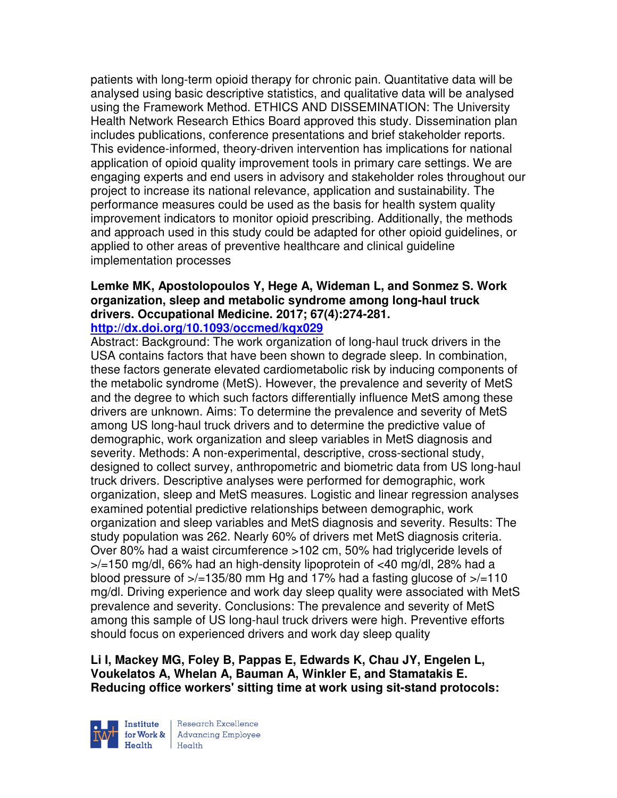patients with long-term opioid therapy for chronic pain. Quantitative data will be analysed using basic descriptive statistics, and qualitative data will be analysed using the Framework Method. ETHICS AND DISSEMINATION: The University Health Network Research Ethics Board approved this study. Dissemination plan includes publications, conference presentations and brief stakeholder reports. This evidence-informed, theory-driven intervention has implications for national application of opioid quality improvement tools in primary care settings. We are engaging experts and end users in advisory and stakeholder roles throughout our project to increase its national relevance, application and sustainability. The performance measures could be used as the basis for health system quality improvement indicators to monitor opioid prescribing. Additionally, the methods and approach used in this study could be adapted for other opioid guidelines, or applied to other areas of preventive healthcare and clinical guideline implementation processes

# **Lemke MK, Apostolopoulos Y, Hege A, Wideman L, and Sonmez S. Work organization, sleep and metabolic syndrome among long-haul truck drivers. Occupational Medicine. 2017; 67(4):274-281.**

# **http://dx.doi.org/10.1093/occmed/kqx029**

Abstract: Background: The work organization of long-haul truck drivers in the USA contains factors that have been shown to degrade sleep. In combination, these factors generate elevated cardiometabolic risk by inducing components of the metabolic syndrome (MetS). However, the prevalence and severity of MetS and the degree to which such factors differentially influence MetS among these drivers are unknown. Aims: To determine the prevalence and severity of MetS among US long-haul truck drivers and to determine the predictive value of demographic, work organization and sleep variables in MetS diagnosis and severity. Methods: A non-experimental, descriptive, cross-sectional study, designed to collect survey, anthropometric and biometric data from US long-haul truck drivers. Descriptive analyses were performed for demographic, work organization, sleep and MetS measures. Logistic and linear regression analyses examined potential predictive relationships between demographic, work organization and sleep variables and MetS diagnosis and severity. Results: The study population was 262. Nearly 60% of drivers met MetS diagnosis criteria. Over 80% had a waist circumference >102 cm, 50% had triglyceride levels of >/=150 mg/dl, 66% had an high-density lipoprotein of <40 mg/dl, 28% had a blood pressure of  $\frac{1}{2}$ =135/80 mm Hg and 17% had a fasting glucose of  $\frac{1}{2}$ =110 mg/dl. Driving experience and work day sleep quality were associated with MetS prevalence and severity. Conclusions: The prevalence and severity of MetS among this sample of US long-haul truck drivers were high. Preventive efforts should focus on experienced drivers and work day sleep quality

**Li I, Mackey MG, Foley B, Pappas E, Edwards K, Chau JY, Engelen L, Voukelatos A, Whelan A, Bauman A, Winkler E, and Stamatakis E. Reducing office workers' sitting time at work using sit-stand protocols:** 



Research Excellence for Work & | Advancing Employee Health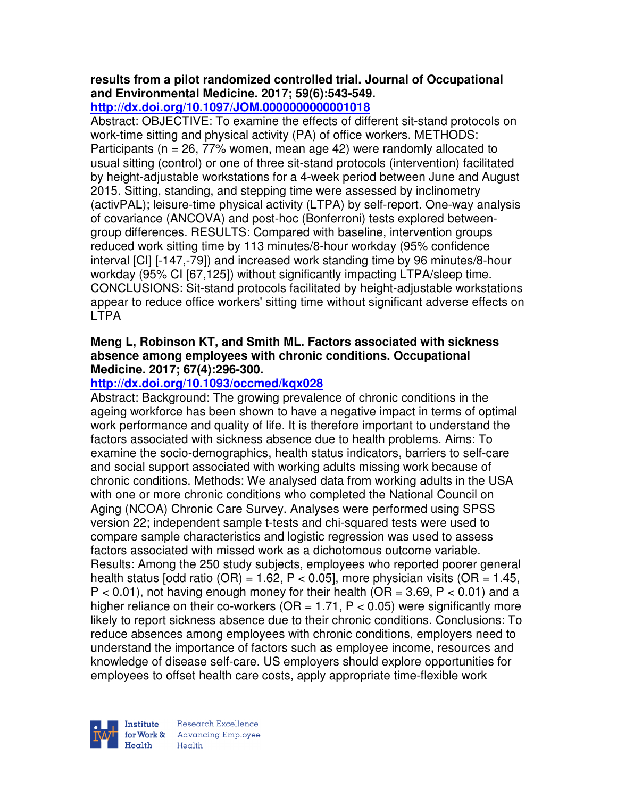# **results from a pilot randomized controlled trial. Journal of Occupational and Environmental Medicine. 2017; 59(6):543-549.**

# **http://dx.doi.org/10.1097/JOM.0000000000001018**

Abstract: OBJECTIVE: To examine the effects of different sit-stand protocols on work-time sitting and physical activity (PA) of office workers. METHODS: Participants ( $n = 26$ , 77% women, mean age 42) were randomly allocated to usual sitting (control) or one of three sit-stand protocols (intervention) facilitated by height-adjustable workstations for a 4-week period between June and August 2015. Sitting, standing, and stepping time were assessed by inclinometry (activPAL); leisure-time physical activity (LTPA) by self-report. One-way analysis of covariance (ANCOVA) and post-hoc (Bonferroni) tests explored betweengroup differences. RESULTS: Compared with baseline, intervention groups reduced work sitting time by 113 minutes/8-hour workday (95% confidence interval [CI] [-147,-79]) and increased work standing time by 96 minutes/8-hour workday (95% CI [67,125]) without significantly impacting LTPA/sleep time. CONCLUSIONS: Sit-stand protocols facilitated by height-adjustable workstations appear to reduce office workers' sitting time without significant adverse effects on LTPA

### **Meng L, Robinson KT, and Smith ML. Factors associated with sickness absence among employees with chronic conditions. Occupational Medicine. 2017; 67(4):296-300.**

# **http://dx.doi.org/10.1093/occmed/kqx028**

Abstract: Background: The growing prevalence of chronic conditions in the ageing workforce has been shown to have a negative impact in terms of optimal work performance and quality of life. It is therefore important to understand the factors associated with sickness absence due to health problems. Aims: To examine the socio-demographics, health status indicators, barriers to self-care and social support associated with working adults missing work because of chronic conditions. Methods: We analysed data from working adults in the USA with one or more chronic conditions who completed the National Council on Aging (NCOA) Chronic Care Survey. Analyses were performed using SPSS version 22; independent sample t-tests and chi-squared tests were used to compare sample characteristics and logistic regression was used to assess factors associated with missed work as a dichotomous outcome variable. Results: Among the 250 study subjects, employees who reported poorer general health status [odd ratio (OR) = 1.62, P < 0.05], more physician visits (OR = 1.45,  $P < 0.01$ ), not having enough money for their health (OR = 3.69, P  $< 0.01$ ) and a higher reliance on their co-workers ( $OR = 1.71$ ,  $P < 0.05$ ) were significantly more likely to report sickness absence due to their chronic conditions. Conclusions: To reduce absences among employees with chronic conditions, employers need to understand the importance of factors such as employee income, resources and knowledge of disease self-care. US employers should explore opportunities for employees to offset health care costs, apply appropriate time-flexible work



Research Excellence for Work & | Advancing Employee  $H_{\text{each}}$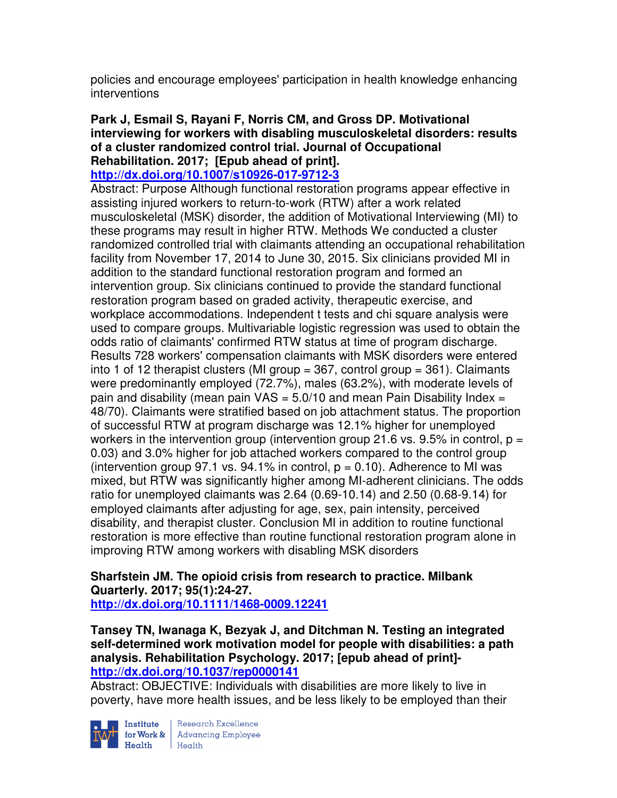policies and encourage employees' participation in health knowledge enhancing interventions

## **Park J, Esmail S, Rayani F, Norris CM, and Gross DP. Motivational interviewing for workers with disabling musculoskeletal disorders: results of a cluster randomized control trial. Journal of Occupational Rehabilitation. 2017; [Epub ahead of print].**

# **http://dx.doi.org/10.1007/s10926-017-9712-3**

Abstract: Purpose Although functional restoration programs appear effective in assisting injured workers to return-to-work (RTW) after a work related musculoskeletal (MSK) disorder, the addition of Motivational Interviewing (MI) to these programs may result in higher RTW. Methods We conducted a cluster randomized controlled trial with claimants attending an occupational rehabilitation facility from November 17, 2014 to June 30, 2015. Six clinicians provided MI in addition to the standard functional restoration program and formed an intervention group. Six clinicians continued to provide the standard functional restoration program based on graded activity, therapeutic exercise, and workplace accommodations. Independent t tests and chi square analysis were used to compare groups. Multivariable logistic regression was used to obtain the odds ratio of claimants' confirmed RTW status at time of program discharge. Results 728 workers' compensation claimants with MSK disorders were entered into 1 of 12 therapist clusters (MI group = 367, control group = 361). Claimants were predominantly employed (72.7%), males (63.2%), with moderate levels of pain and disability (mean pain  $VAS = 5.0/10$  and mean Pain Disability Index = 48/70). Claimants were stratified based on job attachment status. The proportion of successful RTW at program discharge was 12.1% higher for unemployed workers in the intervention group (intervention group 21.6 vs. 9.5% in control,  $p =$ 0.03) and 3.0% higher for job attached workers compared to the control group (intervention group 97.1 vs. 94.1% in control,  $p = 0.10$ ). Adherence to MI was mixed, but RTW was significantly higher among MI-adherent clinicians. The odds ratio for unemployed claimants was 2.64 (0.69-10.14) and 2.50 (0.68-9.14) for employed claimants after adjusting for age, sex, pain intensity, perceived disability, and therapist cluster. Conclusion MI in addition to routine functional restoration is more effective than routine functional restoration program alone in improving RTW among workers with disabling MSK disorders

#### **Sharfstein JM. The opioid crisis from research to practice. Milbank Quarterly. 2017; 95(1):24-27. http://dx.doi.org/10.1111/1468-0009.12241**

### **Tansey TN, Iwanaga K, Bezyak J, and Ditchman N. Testing an integrated self-determined work motivation model for people with disabilities: a path analysis. Rehabilitation Psychology. 2017; [epub ahead of print] http://dx.doi.org/10.1037/rep0000141**

Abstract: OBJECTIVE: Individuals with disabilities are more likely to live in poverty, have more health issues, and be less likely to be employed than their